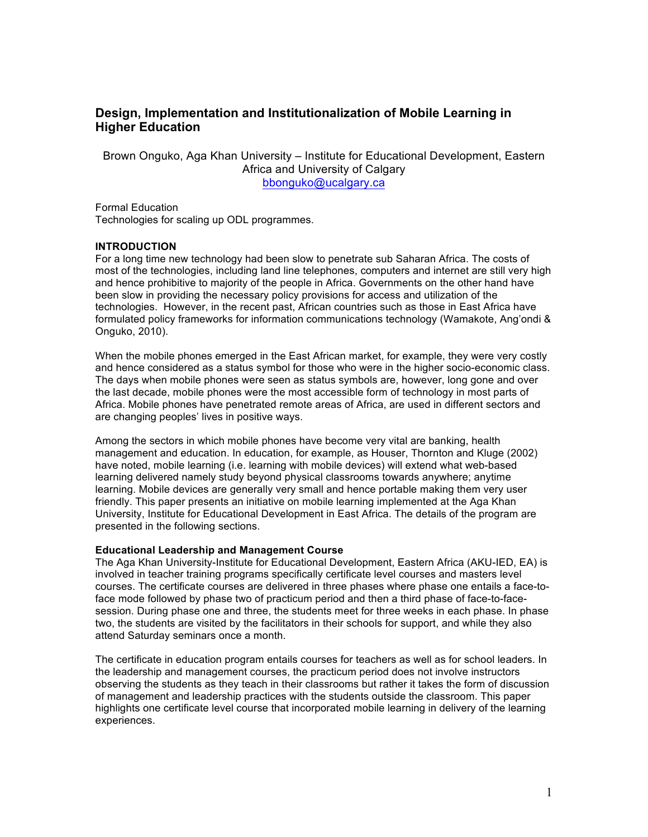# **Design, Implementation and Institutionalization of Mobile Learning in Higher Education**

Brown Onguko, Aga Khan University – Institute for Educational Development, Eastern Africa and University of Calgary bbonguko@ucalgary.ca

Formal Education Technologies for scaling up ODL programmes.

#### **INTRODUCTION**

For a long time new technology had been slow to penetrate sub Saharan Africa. The costs of most of the technologies, including land line telephones, computers and internet are still very high and hence prohibitive to majority of the people in Africa. Governments on the other hand have been slow in providing the necessary policy provisions for access and utilization of the technologies. However, in the recent past, African countries such as those in East Africa have formulated policy frameworks for information communications technology (Wamakote, Ang'ondi & Onguko, 2010).

When the mobile phones emerged in the East African market, for example, they were very costly and hence considered as a status symbol for those who were in the higher socio-economic class. The days when mobile phones were seen as status symbols are, however, long gone and over the last decade, mobile phones were the most accessible form of technology in most parts of Africa. Mobile phones have penetrated remote areas of Africa, are used in different sectors and are changing peoples' lives in positive ways.

Among the sectors in which mobile phones have become very vital are banking, health management and education. In education, for example, as Houser, Thornton and Kluge (2002) have noted, mobile learning (i.e. learning with mobile devices) will extend what web-based learning delivered namely study beyond physical classrooms towards anywhere; anytime learning. Mobile devices are generally very small and hence portable making them very user friendly. This paper presents an initiative on mobile learning implemented at the Aga Khan University, Institute for Educational Development in East Africa. The details of the program are presented in the following sections.

#### **Educational Leadership and Management Course**

The Aga Khan University-Institute for Educational Development, Eastern Africa (AKU-IED, EA) is involved in teacher training programs specifically certificate level courses and masters level courses. The certificate courses are delivered in three phases where phase one entails a face-toface mode followed by phase two of practicum period and then a third phase of face-to-facesession. During phase one and three, the students meet for three weeks in each phase. In phase two, the students are visited by the facilitators in their schools for support, and while they also attend Saturday seminars once a month.

The certificate in education program entails courses for teachers as well as for school leaders. In the leadership and management courses, the practicum period does not involve instructors observing the students as they teach in their classrooms but rather it takes the form of discussion of management and leadership practices with the students outside the classroom. This paper highlights one certificate level course that incorporated mobile learning in delivery of the learning experiences.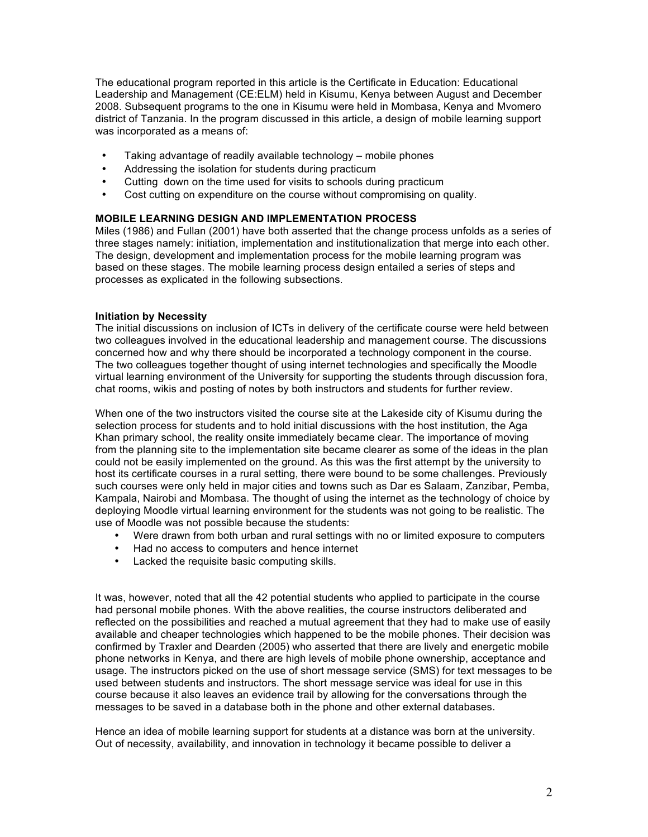The educational program reported in this article is the Certificate in Education: Educational Leadership and Management (CE:ELM) held in Kisumu, Kenya between August and December 2008. Subsequent programs to the one in Kisumu were held in Mombasa, Kenya and Mvomero district of Tanzania. In the program discussed in this article, a design of mobile learning support was incorporated as a means of:

- Taking advantage of readily available technology mobile phones
- Addressing the isolation for students during practicum
- Cutting down on the time used for visits to schools during practicum
- Cost cutting on expenditure on the course without compromising on quality.

## **MOBILE LEARNING DESIGN AND IMPLEMENTATION PROCESS**

Miles (1986) and Fullan (2001) have both asserted that the change process unfolds as a series of three stages namely: initiation, implementation and institutionalization that merge into each other. The design, development and implementation process for the mobile learning program was based on these stages. The mobile learning process design entailed a series of steps and processes as explicated in the following subsections.

## **Initiation by Necessity**

The initial discussions on inclusion of ICTs in delivery of the certificate course were held between two colleagues involved in the educational leadership and management course. The discussions concerned how and why there should be incorporated a technology component in the course. The two colleagues together thought of using internet technologies and specifically the Moodle virtual learning environment of the University for supporting the students through discussion fora, chat rooms, wikis and posting of notes by both instructors and students for further review.

When one of the two instructors visited the course site at the Lakeside city of Kisumu during the selection process for students and to hold initial discussions with the host institution, the Aga Khan primary school, the reality onsite immediately became clear. The importance of moving from the planning site to the implementation site became clearer as some of the ideas in the plan could not be easily implemented on the ground. As this was the first attempt by the university to host its certificate courses in a rural setting, there were bound to be some challenges. Previously such courses were only held in major cities and towns such as Dar es Salaam, Zanzibar, Pemba, Kampala, Nairobi and Mombasa. The thought of using the internet as the technology of choice by deploying Moodle virtual learning environment for the students was not going to be realistic. The use of Moodle was not possible because the students:

- Were drawn from both urban and rural settings with no or limited exposure to computers
- Had no access to computers and hence internet
- Lacked the requisite basic computing skills.

It was, however, noted that all the 42 potential students who applied to participate in the course had personal mobile phones. With the above realities, the course instructors deliberated and reflected on the possibilities and reached a mutual agreement that they had to make use of easily available and cheaper technologies which happened to be the mobile phones. Their decision was confirmed by Traxler and Dearden (2005) who asserted that there are lively and energetic mobile phone networks in Kenya, and there are high levels of mobile phone ownership, acceptance and usage. The instructors picked on the use of short message service (SMS) for text messages to be used between students and instructors. The short message service was ideal for use in this course because it also leaves an evidence trail by allowing for the conversations through the messages to be saved in a database both in the phone and other external databases.

Hence an idea of mobile learning support for students at a distance was born at the university. Out of necessity, availability, and innovation in technology it became possible to deliver a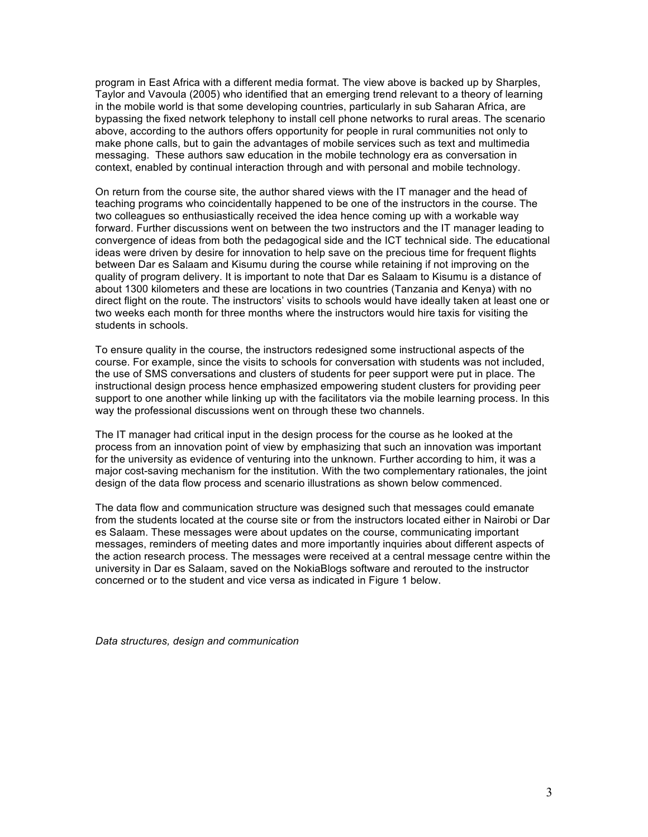program in East Africa with a different media format. The view above is backed up by Sharples, Taylor and Vavoula (2005) who identified that an emerging trend relevant to a theory of learning in the mobile world is that some developing countries, particularly in sub Saharan Africa, are bypassing the fixed network telephony to install cell phone networks to rural areas. The scenario above, according to the authors offers opportunity for people in rural communities not only to make phone calls, but to gain the advantages of mobile services such as text and multimedia messaging. These authors saw education in the mobile technology era as conversation in context, enabled by continual interaction through and with personal and mobile technology.

On return from the course site, the author shared views with the IT manager and the head of teaching programs who coincidentally happened to be one of the instructors in the course. The two colleagues so enthusiastically received the idea hence coming up with a workable way forward. Further discussions went on between the two instructors and the IT manager leading to convergence of ideas from both the pedagogical side and the ICT technical side. The educational ideas were driven by desire for innovation to help save on the precious time for frequent flights between Dar es Salaam and Kisumu during the course while retaining if not improving on the quality of program delivery. It is important to note that Dar es Salaam to Kisumu is a distance of about 1300 kilometers and these are locations in two countries (Tanzania and Kenya) with no direct flight on the route. The instructors' visits to schools would have ideally taken at least one or two weeks each month for three months where the instructors would hire taxis for visiting the students in schools.

To ensure quality in the course, the instructors redesigned some instructional aspects of the course. For example, since the visits to schools for conversation with students was not included, the use of SMS conversations and clusters of students for peer support were put in place. The instructional design process hence emphasized empowering student clusters for providing peer support to one another while linking up with the facilitators via the mobile learning process. In this way the professional discussions went on through these two channels.

The IT manager had critical input in the design process for the course as he looked at the process from an innovation point of view by emphasizing that such an innovation was important for the university as evidence of venturing into the unknown. Further according to him, it was a major cost-saving mechanism for the institution. With the two complementary rationales, the joint design of the data flow process and scenario illustrations as shown below commenced.

The data flow and communication structure was designed such that messages could emanate from the students located at the course site or from the instructors located either in Nairobi or Dar es Salaam. These messages were about updates on the course, communicating important messages, reminders of meeting dates and more importantly inquiries about different aspects of the action research process. The messages were received at a central message centre within the university in Dar es Salaam, saved on the NokiaBlogs software and rerouted to the instructor concerned or to the student and vice versa as indicated in Figure 1 below.

*Data structures, design and communication*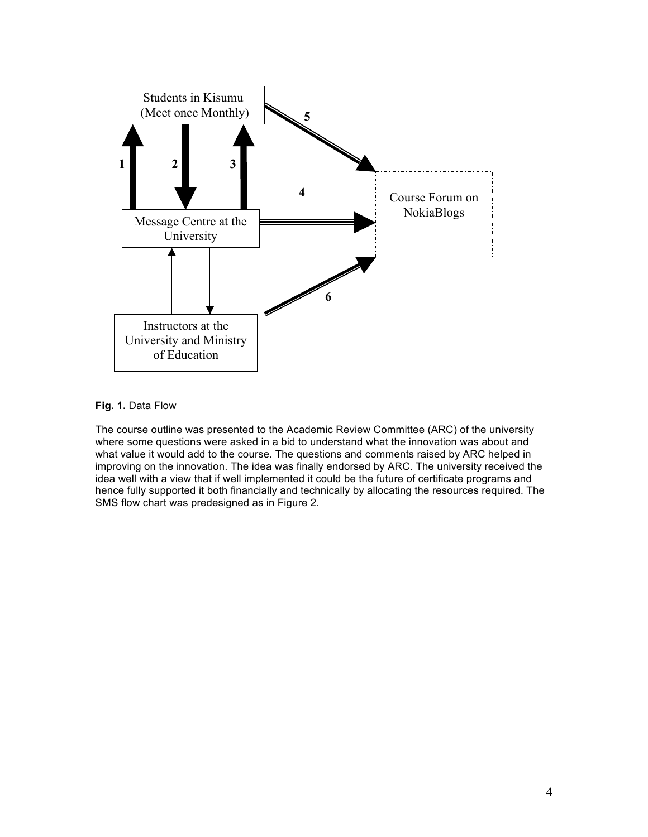

### **Fig. 1.** Data Flow

The course outline was presented to the Academic Review Committee (ARC) of the university where some questions were asked in a bid to understand what the innovation was about and what value it would add to the course. The questions and comments raised by ARC helped in improving on the innovation. The idea was finally endorsed by ARC. The university received the idea well with a view that if well implemented it could be the future of certificate programs and hence fully supported it both financially and technically by allocating the resources required. The SMS flow chart was predesigned as in Figure 2.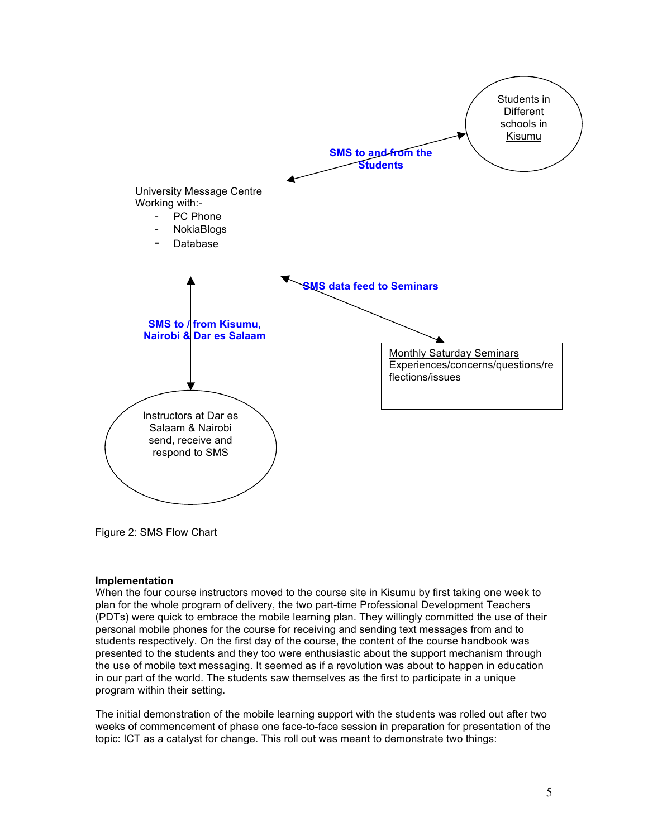

Figure 2: SMS Flow Chart

#### **Implementation**

When the four course instructors moved to the course site in Kisumu by first taking one week to plan for the whole program of delivery, the two part-time Professional Development Teachers (PDTs) were quick to embrace the mobile learning plan. They willingly committed the use of their personal mobile phones for the course for receiving and sending text messages from and to students respectively. On the first day of the course, the content of the course handbook was presented to the students and they too were enthusiastic about the support mechanism through the use of mobile text messaging. It seemed as if a revolution was about to happen in education in our part of the world. The students saw themselves as the first to participate in a unique program within their setting.

The initial demonstration of the mobile learning support with the students was rolled out after two weeks of commencement of phase one face-to-face session in preparation for presentation of the topic: ICT as a catalyst for change. This roll out was meant to demonstrate two things: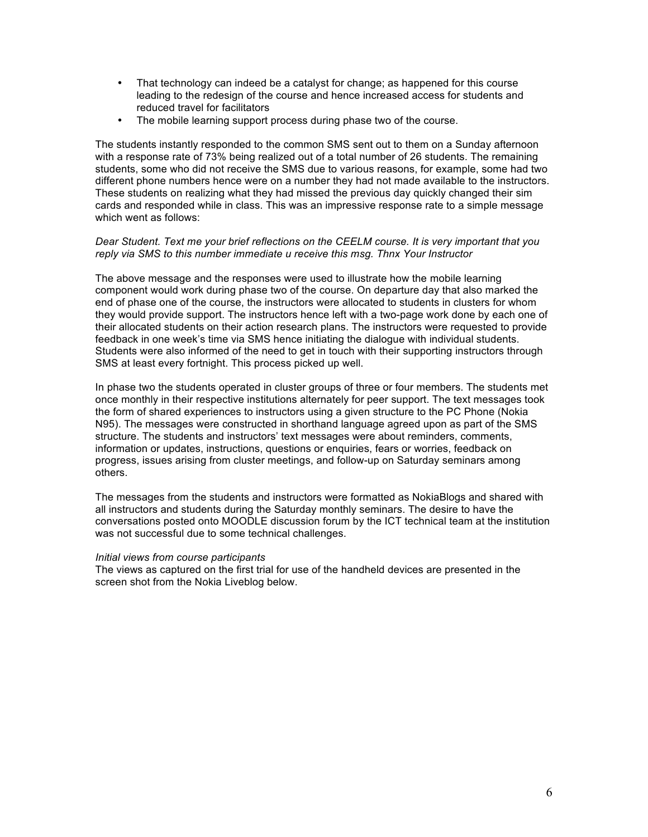- That technology can indeed be a catalyst for change; as happened for this course leading to the redesign of the course and hence increased access for students and reduced travel for facilitators
- The mobile learning support process during phase two of the course.

The students instantly responded to the common SMS sent out to them on a Sunday afternoon with a response rate of 73% being realized out of a total number of 26 students. The remaining students, some who did not receive the SMS due to various reasons, for example, some had two different phone numbers hence were on a number they had not made available to the instructors. These students on realizing what they had missed the previous day quickly changed their sim cards and responded while in class. This was an impressive response rate to a simple message which went as follows:

#### *Dear Student. Text me your brief reflections on the CEELM course. It is very important that you reply via SMS to this number immediate u receive this msg. Thnx Your Instructor*

The above message and the responses were used to illustrate how the mobile learning component would work during phase two of the course. On departure day that also marked the end of phase one of the course, the instructors were allocated to students in clusters for whom they would provide support. The instructors hence left with a two-page work done by each one of their allocated students on their action research plans. The instructors were requested to provide feedback in one week's time via SMS hence initiating the dialogue with individual students. Students were also informed of the need to get in touch with their supporting instructors through SMS at least every fortnight. This process picked up well.

In phase two the students operated in cluster groups of three or four members. The students met once monthly in their respective institutions alternately for peer support. The text messages took the form of shared experiences to instructors using a given structure to the PC Phone (Nokia N95). The messages were constructed in shorthand language agreed upon as part of the SMS structure. The students and instructors' text messages were about reminders, comments, information or updates, instructions, questions or enquiries, fears or worries, feedback on progress, issues arising from cluster meetings, and follow-up on Saturday seminars among others.

The messages from the students and instructors were formatted as NokiaBlogs and shared with all instructors and students during the Saturday monthly seminars. The desire to have the conversations posted onto MOODLE discussion forum by the ICT technical team at the institution was not successful due to some technical challenges.

#### *Initial views from course participants*

The views as captured on the first trial for use of the handheld devices are presented in the screen shot from the Nokia Liveblog below.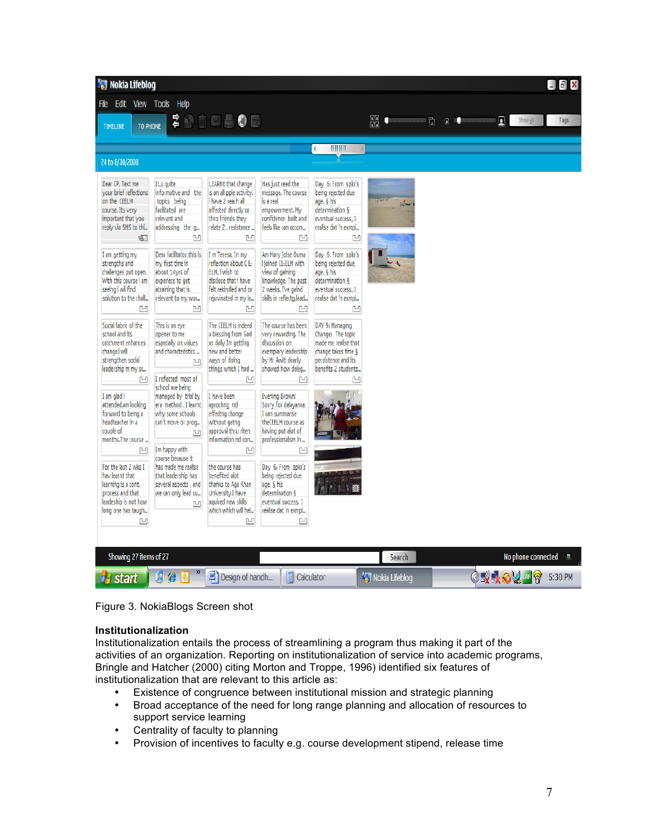| <b>Nokia Lifeblog</b><br>$\begin{bmatrix} 1 \\ 0 \end{bmatrix}$ X                                                                                                                                                                                                          |                                                                                                                                                                                                                                                      |                                                                                                                                                                                                                                                                                                     |                                                                                                                                                                                                                                                                                 |                                                                                                                                                                                                                                                                |                                    |  |                                                              |                  |
|----------------------------------------------------------------------------------------------------------------------------------------------------------------------------------------------------------------------------------------------------------------------------|------------------------------------------------------------------------------------------------------------------------------------------------------------------------------------------------------------------------------------------------------|-----------------------------------------------------------------------------------------------------------------------------------------------------------------------------------------------------------------------------------------------------------------------------------------------------|---------------------------------------------------------------------------------------------------------------------------------------------------------------------------------------------------------------------------------------------------------------------------------|----------------------------------------------------------------------------------------------------------------------------------------------------------------------------------------------------------------------------------------------------------------|------------------------------------|--|--------------------------------------------------------------|------------------|
| File Edit View Tools Help                                                                                                                                                                                                                                                  |                                                                                                                                                                                                                                                      |                                                                                                                                                                                                                                                                                                     |                                                                                                                                                                                                                                                                                 |                                                                                                                                                                                                                                                                |                                    |  |                                                              |                  |
| TO PHONE<br>TIMELINE                                                                                                                                                                                                                                                       |                                                                                                                                                                                                                                                      | まめ市区日●日                                                                                                                                                                                                                                                                                             |                                                                                                                                                                                                                                                                                 |                                                                                                                                                                                                                                                                | 霊<br><b>Communications Control</b> |  | $\blacksquare$ . The property contribution of $\blacksquare$ | Show all<br>Tags |
|                                                                                                                                                                                                                                                                            |                                                                                                                                                                                                                                                      |                                                                                                                                                                                                                                                                                                     |                                                                                                                                                                                                                                                                                 |                                                                                                                                                                                                                                                                |                                    |  |                                                              |                  |
| 24 to 8/30/2008                                                                                                                                                                                                                                                            |                                                                                                                                                                                                                                                      |                                                                                                                                                                                                                                                                                                     |                                                                                                                                                                                                                                                                                 | $\leftarrow$ $\parallel$ $\parallel$ $\parallel$                                                                                                                                                                                                               |                                    |  |                                                              |                  |
|                                                                                                                                                                                                                                                                            |                                                                                                                                                                                                                                                      |                                                                                                                                                                                                                                                                                                     |                                                                                                                                                                                                                                                                                 |                                                                                                                                                                                                                                                                |                                    |  |                                                              |                  |
| Dear CP. Text me<br>vour brief reflections<br>on the CEELM<br>course. Its very<br>important that you<br>reply via SMS to thi<br>由<br>I am getting my<br>strengths and<br>challenges put open.<br>With this course i am<br>seeing i wil find<br>solution to the chall<br>ŗч | It,s quite<br>informative and the<br>topics being<br>facilitated are<br>relevant and<br>addressing the q<br>凹<br>Dear facilitator.this is<br>my first time in<br>about 14yrs of<br>experiece to get<br>atraining that is<br>relevant to my wor<br>ŗч | <b>LEARNt that change</b><br>is an all pple activity.<br>i have 2 reach all<br>affected directly or<br>thro friends they<br>relate 2. resistance<br>凹<br>I m Teresa. In my<br>reflection about C E:<br>ELM, i wish to<br>disclose that i have<br>felt rekindled and or<br>rejuvinated in my le<br>凹 | Has just read the<br>message. The course<br>is a real<br>empowerment. My<br>confidence built and<br>feels like can accom<br>므<br>Am Mary Joise Ouma<br>I joined CE:ELM with<br>view of gaining<br>knowledge. The past<br>2 weeks, I've gaind<br>skills in reflectg, lead<br>ŗч, | Day 6: From spkr's<br>being rejected due<br>age, § his<br>determination §<br>eventual success, I<br>realise dat 'n exmpl<br>凹<br>Day 6: From spkr's<br>being rejected due<br>age, § his<br>determination §<br>eventual success, I<br>realise dat 'n exmpl<br>凹 | فالحمد<br>ساليا                    |  |                                                              |                  |
| Social fabric of the<br>school and its<br>catchment enhances<br>change.i will<br>strengthen social<br>leadership in my sc<br>미                                                                                                                                             | This is an eve<br>opener to me<br>especially on values<br>and characteristics<br>ŗч<br>I reflected most of                                                                                                                                           | The CEELM is indeed<br>a blessing from God<br>as daily Im getting<br>new and better<br>ways of doing<br>things which I had<br>M                                                                                                                                                                     | The course has been<br>very rewarding. The<br>discussion on<br>exemplary leadership<br>by Mr Awiti clearly<br>showed how deleq<br>면                                                                                                                                             | DAY 9: Managing<br>Change: The topic<br>made me realise that<br>change takes time §<br>persistence and its<br>benefits 2 students<br>rч                                                                                                                        |                                    |  |                                                              |                  |
| I am glad i<br>attended.am looking<br>forward to being a<br>headteacher in a<br>couple of<br>months.The course<br>凹<br>For the last 2 wks I<br>hav learnt that<br>learning is a cont.                                                                                      | school are being<br>managed by trial by<br>era method. I learnt<br>why some schools<br>can't move or proq<br>ŗч<br>Im happy with<br>course because it<br>has made me realise<br>that leadership has<br>several aspects, and                          | I have been<br>aprochng nd<br>effectng change<br>without getng<br>approval thru riten<br>information nd con<br>凹<br>the course has<br>benefited alot<br>thanks to Aga Khan                                                                                                                          | <b>Evening Brown!</b><br>Sorry for delavance.<br>I can summarise<br>theCEELM course as<br>having put alot of<br>professionalism in<br>凹<br>Day 6: From spkr's<br>being rejected due<br>age, § his                                                                               |                                                                                                                                                                                                                                                                |                                    |  |                                                              |                  |
| process and that<br>leadeship is not how<br>long one has taugh<br>凹                                                                                                                                                                                                        | we can only lead su<br>미                                                                                                                                                                                                                             | University.I have<br>aguired new skills<br>which which will hel<br>Ľ                                                                                                                                                                                                                                | determination §<br>eventual success. I<br>realise dat 'n exmpl<br>凹                                                                                                                                                                                                             |                                                                                                                                                                                                                                                                |                                    |  |                                                              |                  |
| Showing 27 items of 27                                                                                                                                                                                                                                                     |                                                                                                                                                                                                                                                      | Search                                                                                                                                                                                                                                                                                              |                                                                                                                                                                                                                                                                                 |                                                                                                                                                                                                                                                                | No phone connected                 |  |                                                              |                  |
| <b>H</b> start                                                                                                                                                                                                                                                             | Г<br>A<br>IQ.                                                                                                                                                                                                                                        | Design of handh                                                                                                                                                                                                                                                                                     | Ŀ<br>Calculator                                                                                                                                                                                                                                                                 |                                                                                                                                                                                                                                                                | <b>May</b> Nokia Lifeblog          |  | <b>OR ⊹OV</b> ™?                                             | 5:30 PM          |

Figure 3. NokiaBlogs Screen shot

#### **Institutionalization**

Institutionalization entails the process of streamlining a program thus making it part of the activities of an organization. Reporting on institutionalization of service into academic programs, Bringle and Hatcher (2000) citing Morton and Troppe, 1996) identified six features of institutionalization that are relevant to this article as:

- Existence of congruence between institutional mission and strategic planning<br>• Broad acceptance of the need for long range planning and allocation of resour
- Broad acceptance of the need for long range planning and allocation of resources to support service learning
- Centrality of faculty to planning
- Provision of incentives to faculty e.g. course development stipend, release time